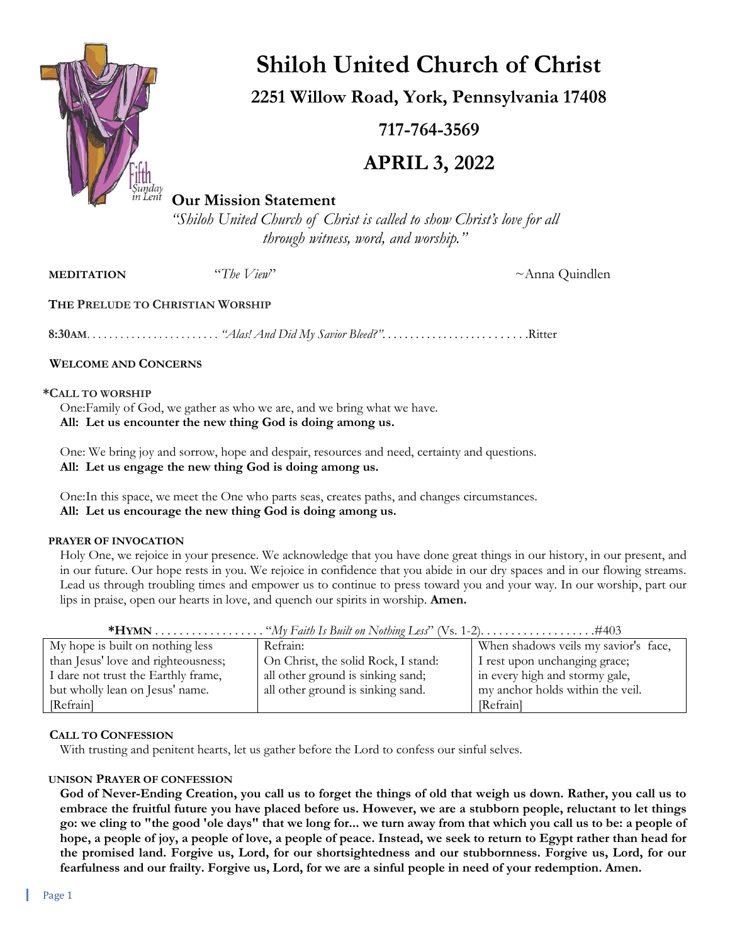

# **Shiloh United Church of Christ**

**2251 Willow Road, York, Pennsylvania 17408**

**717-764-3569**

# **APRIL 3, 2022**

# **Our Mission Statement**

*"Shiloh United Church of Christ is called to show Christ's love for all through witness, word, and worship."*

**MEDITATION** "*The View*"  $\sim$  Anna Quindlen

# **THE PRELUDE TO CHRISTIAN WORSHIP**

**8:30AM**. . . . . . . . . . . . . . . . . . . . . . . . *"Alas! And Did My Savior Bleed?"*. . . . . . . . . . . . . . . . . . . . . . . . . .Ritter

# **WELCOME AND CONCERNS**

## **\*CALL TO WORSHIP**

One:Family of God, we gather as who we are, and we bring what we have. **All: Let us encounter the new thing God is doing among us.**

One: We bring joy and sorrow, hope and despair, resources and need, certainty and questions. **All: Let us engage the new thing God is doing among us.**

One:In this space, we meet the One who parts seas, creates paths, and changes circumstances. **All: Let us encourage the new thing God is doing among us.**

#### **PRAYER OF INVOCATION**

Holy One, we rejoice in your presence. We acknowledge that you have done great things in our history, in our present, and in our future. Our hope rests in you. We rejoice in confidence that you abide in our dry spaces and in our flowing streams. Lead us through troubling times and empower us to continue to press toward you and your way. In our worship, part our lips in praise, open our hearts in love, and quench our spirits in worship. **Amen.**

| My hope is built on nothing less    | Refrain:                            | When shadows veils my savior's face, |
|-------------------------------------|-------------------------------------|--------------------------------------|
| than Jesus' love and righteousness; | On Christ, the solid Rock, I stand: | I rest upon unchanging grace;        |
| I dare not trust the Earthly frame, | all other ground is sinking sand;   | in every high and stormy gale,       |
| but wholly lean on Jesus' name.     | all other ground is sinking sand.   | my anchor holds within the veil.     |
| [Refrain]                           |                                     | [Refrain]                            |

# **CALL TO CONFESSION**

With trusting and penitent hearts, let us gather before the Lord to confess our sinful selves.

# **UNISON PRAYER OF CONFESSION**

**God of Never-Ending Creation, you call us to forget the things of old that weigh us down. Rather, you call us to embrace the fruitful future you have placed before us. However, we are a stubborn people, reluctant to let things go: we cling to "the good 'ole days" that we long for... we turn away from that which you call us to be: a people of hope, a people of joy, a people of love, a people of peace. Instead, we seek to return to Egypt rather than head for the promised land. Forgive us, Lord, for our shortsightedness and our stubbornness. Forgive us, Lord, for our fearfulness and our frailty. Forgive us, Lord, for we are a sinful people in need of your redemption. Amen.**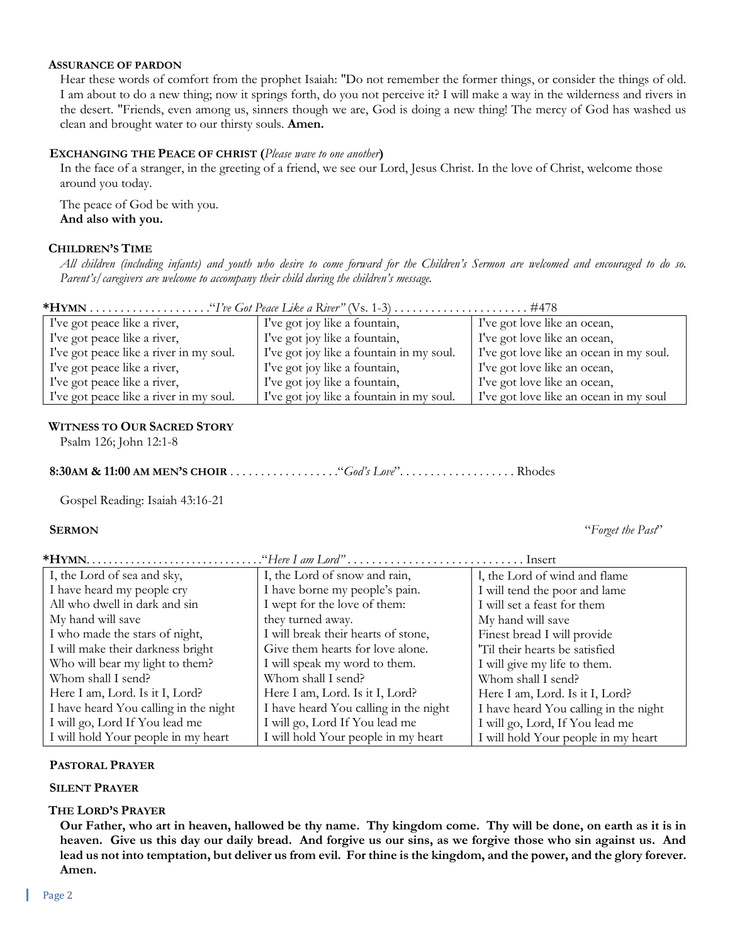#### **ASSURANCE OF PARDON**

Hear these words of comfort from the prophet Isaiah: "Do not remember the former things, or consider the things of old. I am about to do a new thing; now it springs forth, do you not perceive it? I will make a way in the wilderness and rivers in the desert. "Friends, even among us, sinners though we are, God is doing a new thing! The mercy of God has washed us clean and brought water to our thirsty souls. **Amen.**

#### **EXCHANGING THE PEACE OF CHRIST (***Please wave to one another***)**

In the face of a stranger, in the greeting of a friend, we see our Lord, Jesus Christ. In the love of Christ, welcome those around you today.

The peace of God be with you. **And also with you.**

#### **CHILDREN'S TIME**

*All children (including infants) and youth who desire to come forward for the Children's Sermon are welcomed and encouraged to do so. Parent's/caregivers are welcome to accompany their child during the children's message.*

| I've got peace like a river,            | I've got joy like a fountain,            | I've got love like an ocean,            |  |
|-----------------------------------------|------------------------------------------|-----------------------------------------|--|
| I've got peace like a river,            | I've got joy like a fountain,            | I've got love like an ocean,            |  |
| I've got peace like a river in my soul. | I've got joy like a fountain in my soul. | I've got love like an ocean in my soul. |  |
| I've got peace like a river,            | I've got joy like a fountain,            | I've got love like an ocean,            |  |
| I've got peace like a river,            | I've got joy like a fountain,            | I've got love like an ocean,            |  |
| I've got peace like a river in my soul. | I've got joy like a fountain in my soul. | I've got love like an ocean in my soul  |  |

#### **WITNESS TO OUR SACRED STORY**

Psalm 126; John 12:1-8

**8:30AM & 11:00 AM MEN'S CHOIR** . . . . . . . . . . . . . . . . . ."*God's Love*". . . . . . . . . . . . . . . . . . . Rhodes

Gospel Reading: Isaiah 43:16-21

 **SERMON** "*Forget the Past*"

**\*HYMN**. . . . . . . . . . . . . . . . . . . . . . . . . . . . . . . ."*Here I am Lord"* . . . . . . . . . . . . . . . . . . . . . . . . . . . . . Insert

| I, the Lord of sea and sky,           | I, the Lord of snow and rain,         | I, the Lord of wind and flame         |
|---------------------------------------|---------------------------------------|---------------------------------------|
| I have heard my people cry            | I have borne my people's pain.        | I will tend the poor and lame         |
| All who dwell in dark and sin         | I wept for the love of them:          | I will set a feast for them           |
| My hand will save                     | they turned away.                     | My hand will save                     |
| I who made the stars of night,        | I will break their hearts of stone,   | Finest bread I will provide           |
| I will make their darkness bright     | Give them hearts for love alone.      | 'Til their hearts be satisfied        |
| Who will bear my light to them?       | I will speak my word to them.         | I will give my life to them.          |
| Whom shall I send?                    | Whom shall I send?                    | Whom shall I send?                    |
| Here I am, Lord. Is it I, Lord?       | Here I am, Lord. Is it I, Lord?       | Here I am, Lord. Is it I, Lord?       |
| I have heard You calling in the night | I have heard You calling in the night | I have heard You calling in the night |
| I will go, Lord If You lead me        | I will go, Lord If You lead me        | I will go, Lord, If You lead me       |
| I will hold Your people in my heart   | I will hold Your people in my heart   | I will hold Your people in my heart   |

#### **PASTORAL PRAYER**

#### **SILENT PRAYER**

#### **THE LORD'S PRAYER**

**Our Father, who art in heaven, hallowed be thy name. Thy kingdom come. Thy will be done, on earth as it is in heaven. Give us this day our daily bread. And forgive us our sins, as we forgive those who sin against us. And lead us not into temptation, but deliver us from evil. For thine is the kingdom, and the power, and the glory forever. Amen.**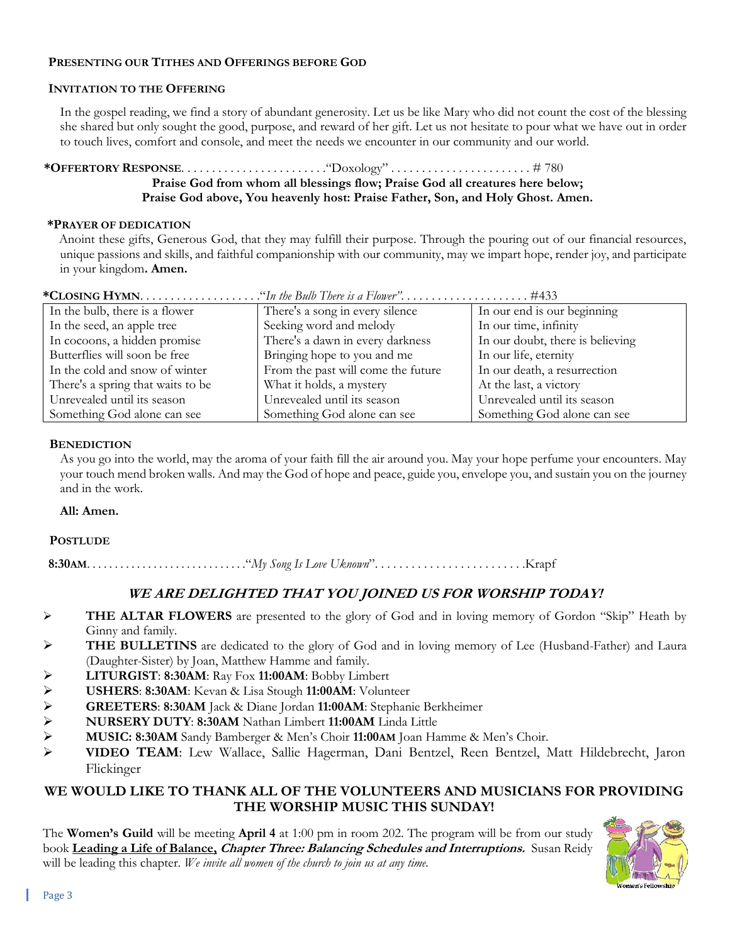# **PRESENTING OUR TITHES AND OFFERINGS BEFORE GOD**

# **INVITATION TO THE OFFERING**

In the gospel reading, we find a story of abundant generosity. Let us be like Mary who did not count the cost of the blessing she shared but only sought the good, purpose, and reward of her gift. Let us not hesitate to pour what we have out in order to touch lives, comfort and console, and meet the needs we encounter in our community and our world.

# **\*OFFERTORY RESPONSE**. . . . . . . . . . . . . . . . . . . . . . . ."Doxology" . . . . . . . . . . . . . . . . . . . . . . . # 780 **Praise God from whom all blessings flow; Praise God all creatures here below; Praise God above, You heavenly host: Praise Father, Son, and Holy Ghost. Amen.**

## **\*PRAYER OF DEDICATION**

Anoint these gifts, Generous God, that they may fulfill their purpose. Through the pouring out of our financial resources, unique passions and skills, and faithful companionship with our community, may we impart hope, render joy, and participate in your kingdom**. Amen.**

| In the bulb, there is a flower    | There's a song in every silence    | In our end is our beginning      |
|-----------------------------------|------------------------------------|----------------------------------|
| In the seed, an apple tree        | Seeking word and melody            | In our time, infinity            |
| In cocoons, a hidden promise      | There's a dawn in every darkness   | In our doubt, there is believing |
| Butterflies will soon be free     | Bringing hope to you and me        | In our life, eternity            |
| In the cold and snow of winter    | From the past will come the future | In our death, a resurrection     |
| There's a spring that waits to be | What it holds, a mystery           | At the last, a victory           |
| Unrevealed until its season       | Unrevealed until its season        | Unrevealed until its season      |
| Something God alone can see       | Something God alone can see        | Something God alone can see      |

 $^{11}$ **COSING <b>HVMN**  $^{11}$   $^{12}$   $^{11}$   $^{12}$   $^{11}$   $^{12}$   $^{11}$   $^{12}$   $^{11}$   $^{12}$   $^{11}$   $^{12}$   $^{11}$ 

#### **BENEDICTION**

As you go into the world, may the aroma of your faith fill the air around you. May your hope perfume your encounters. May your touch mend broken walls. And may the God of hope and peace, guide you, envelope you, and sustain you on the journey and in the work.

#### **All: Amen.**

#### **POSTLUDE**

 **8:30AM**. . . . . . . . . . . . . . . . . . . . . . . . . . . . ."*My Song Is Love Uknown*". . . . . . . . . . . . . . . . . . . . . . . . .Krapf

# **WE ARE DELIGHTED THAT YOU JOINED US FOR WORSHIP TODAY!**

- ➢ **THE ALTAR FLOWERS** are presented to the glory of God and in loving memory of Gordon "Skip" Heath by Ginny and family.
- ➢ **THE BULLETINS** are dedicated to the glory of God and in loving memory of Lee (Husband-Father) and Laura (Daughter-Sister) by Joan, Matthew Hamme and family.
- ➢ **LITURGIST**: **8:30AM**: Ray Fox **11:00AM**: Bobby Limbert
- 
- ➢ **GREETERS**: **8:30AM** Jack & Diane Jordan **11:00AM**: Stephanie Berkheimer
- ➢ **USHERS**: **8:30AM**: Kevan & Lisa Stough **11:00AM**: Volunteer ➢ **NURSERY DUTY**: **8:30AM** Nathan Limbert **11:00AM** Linda Little
- ➢ **MUSIC: 8:30AM** Sandy Bamberger & Men's Choir **11:00AM** Joan Hamme & Men's Choir.
- ➢ **VIDEO TEAM**: Lew Wallace, Sallie Hagerman, Dani Bentzel, Reen Bentzel, Matt Hildebrecht, Jaron Flickinger

# **WE WOULD LIKE TO THANK ALL OF THE VOLUNTEERS AND MUSICIANS FOR PROVIDING THE WORSHIP MUSIC THIS SUNDAY!**

The **Women's Guild** will be meeting **April 4** at 1:00 pm in room 202. The program will be from our study book **Leading a Life of Balance, Chapter Three: Balancing Schedules and Interruptions.** Susan Reidy will be leading this chapter*. We invite all women of the church to join us at any time.*

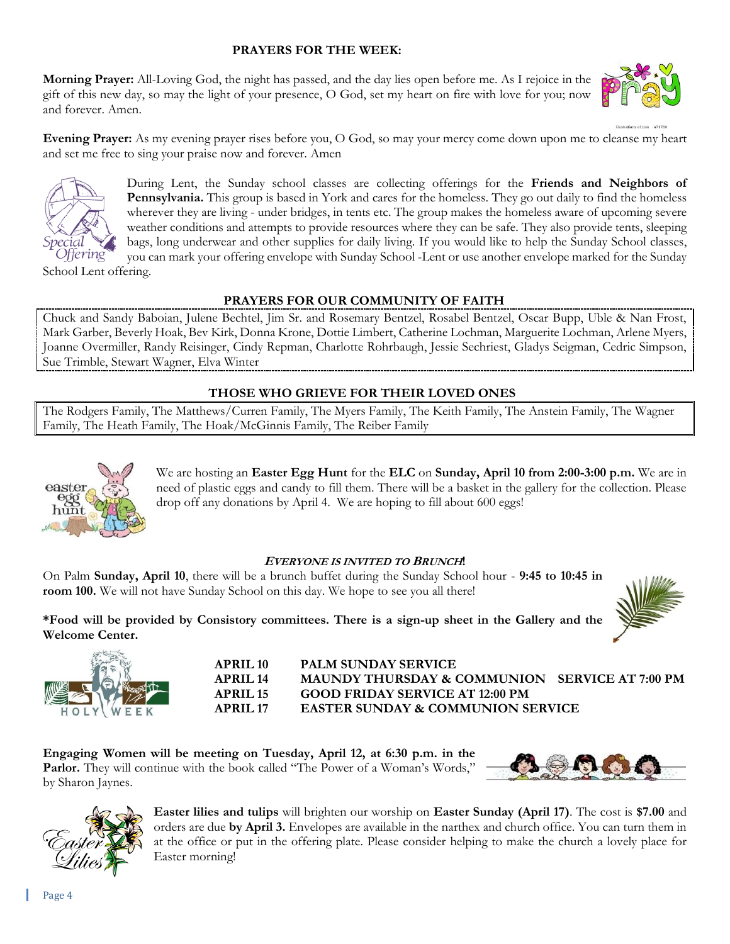# **PRAYERS FOR THE WEEK:**

**Morning Prayer:** All-Loving God, the night has passed, and the day lies open before me. As I rejoice in the gift of this new day, so may the light of your presence, O God, set my heart on fire with love for you; now and forever. Amen.



**Evening Prayer:** As my evening prayer rises before you, O God, so may your mercy come down upon me to cleanse my heart and set me free to sing your praise now and forever. Amen



During Lent, the Sunday school classes are collecting offerings for the **Friends and Neighbors of Pennsylvania.** This group is based in York and cares for the homeless. They go out daily to find the homeless wherever they are living - under bridges, in tents etc. The group makes the homeless aware of upcoming severe weather conditions and attempts to provide resources where they can be safe. They also provide tents, sleeping bags, long underwear and other supplies for daily living. If you would like to help the Sunday School classes, you can mark your offering envelope with Sunday School -Lent or use another envelope marked for the Sunday

School Lent offering.

#### **PRAYERS FOR OUR COMMUNITY OF FAITH**

Chuck and Sandy Baboian, Julene Bechtel, Jim Sr. and Rosemary Bentzel, Rosabel Bentzel, Oscar Bupp, Uble & Nan Frost, Mark Garber, Beverly Hoak, Bev Kirk, Donna Krone, Dottie Limbert, Catherine Lochman, Marguerite Lochman, Arlene Myers, Joanne Overmiller, Randy Reisinger, Cindy Repman, Charlotte Rohrbaugh, Jessie Sechriest, Gladys Seigman, Cedric Simpson, Sue Trimble, Stewart Wagner, Elva Winter

# **THOSE WHO GRIEVE FOR THEIR LOVED ONES**

The Rodgers Family, The Matthews/Curren Family, The Myers Family, The Keith Family, The Anstein Family, The Wagner Family, The Heath Family, The Hoak/McGinnis Family, The Reiber Family



We are hosting an **Easter Egg Hunt** for the **ELC** on **Sunday, April 10 from 2:00-3:00 p.m.** We are in need of plastic eggs and candy to fill them. There will be a basket in the gallery for the collection. Please drop off any donations by April 4. We are hoping to fill about 600 eggs!

#### **<sup>E</sup>VERYONE IS INVITED TO BRUNCH!**

On Palm **Sunday, April 10**, there will be a brunch buffet during the Sunday School hour - **9:45 to 10:45 in room 100.** We will not have Sunday School on this day. We hope to see you all there!

**\*Food will be provided by Consistory committees. There is a sign-up sheet in the Gallery and the Welcome Center.**



**APRIL 10 PALM SUNDAY SERVICE APRIL 14 MAUNDY THURSDAY & COMMUNION SERVICE AT 7:00 PM APRIL 15 GOOD FRIDAY SERVICE AT 12:00 PM APRIL 17 EASTER SUNDAY & COMMUNION SERVICE**

**Engaging Women will be meeting on Tuesday, April 12, at 6:30 p.m. in the**  Parlor. They will continue with the book called "The Power of a Woman's Words," by Sharon Jaynes.





**Easter lilies and tulips** will brighten our worship on **Easter Sunday (April 17)**. The cost is **\$7.00** and orders are due **by April 3.** Envelopes are available in the narthex and church office. You can turn them in at the office or put in the offering plate. Please consider helping to make the church a lovely place for Easter morning!